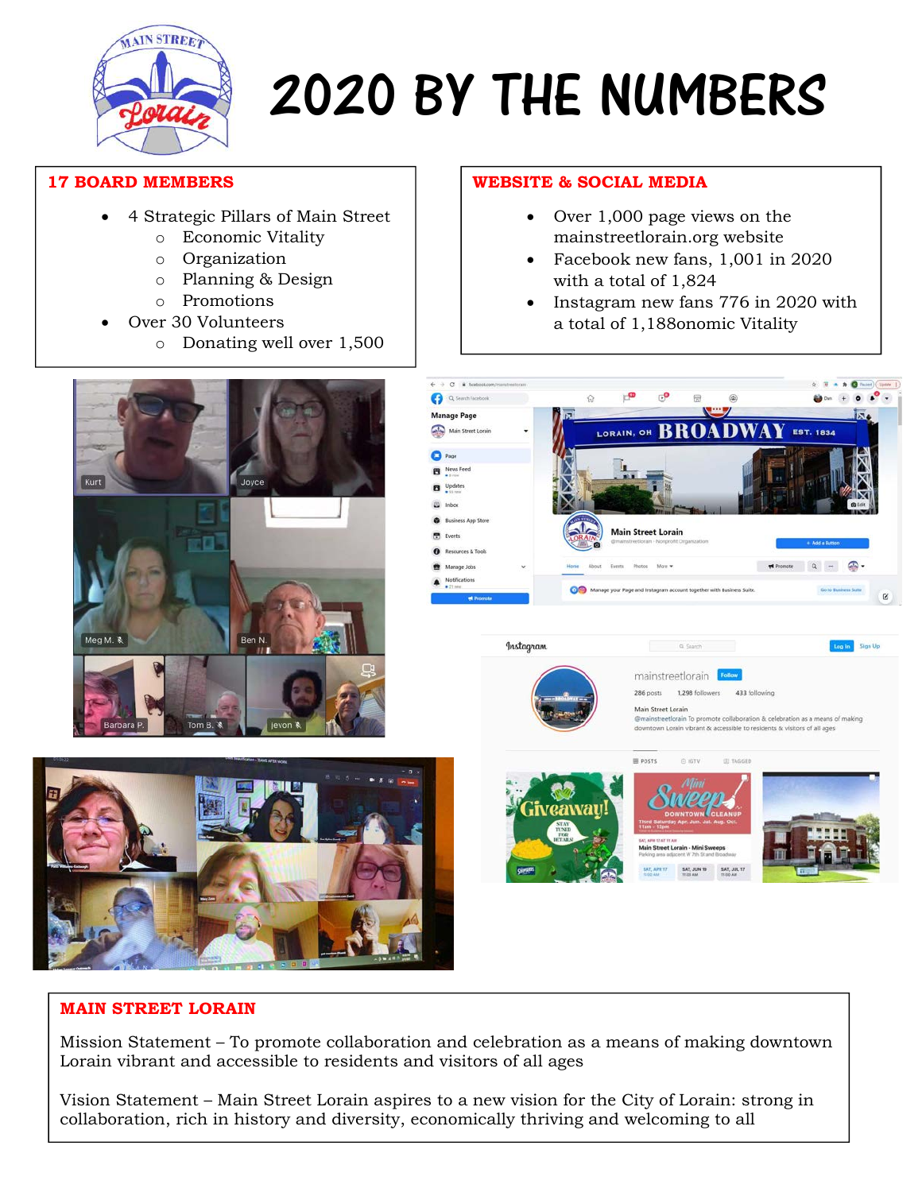

# 2020 BY THE NUMBERS

#### 17 BOARD MEMBERS

- 4 Strategic Pillars of Main Street
	- o Economic Vitality
	- o Organization
	- o Planning & Design
	- o Promotions
	- Over 30 Volunteers
		- o Donating well over 1,500

### WEBSITE & SOCIAL MEDIA

- Over 1,000 page views on the mainstreetlorain.org website
- Facebook new fans, 1,001 in 2020 with a total of 1,824
- Instagram new fans 776 in 2020 with a total of 1,188onomic Vitality





## MAIN STREET LORAIN

i

Mission Statement – To promote collaboration and celebration as a means of making downtown Lorain vibrant and accessible to residents and visitors of all ages

Vision Statement – Main Street Lorain aspires to a new vision for the City of Lorain: strong in collaboration, rich in history and diversity, economically thriving and welcoming to all